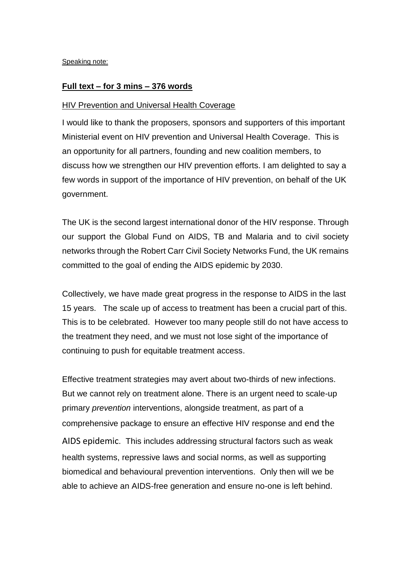Speaking note:

## **Full text – for 3 mins – 376 words**

## HIV Prevention and Universal Health Coverage

I would like to thank the proposers, sponsors and supporters of this important Ministerial event on HIV prevention and Universal Health Coverage. This is an opportunity for all partners, founding and new coalition members, to discuss how we strengthen our HIV prevention efforts. I am delighted to say a few words in support of the importance of HIV prevention, on behalf of the UK government.

The UK is the second largest international donor of the HIV response. Through our support the Global Fund on AIDS, TB and Malaria and to civil society networks through the Robert Carr Civil Society Networks Fund, the UK remains committed to the goal of ending the AIDS epidemic by 2030.

Collectively, we have made great progress in the response to AIDS in the last 15 years. The scale up of access to treatment has been a crucial part of this. This is to be celebrated. However too many people still do not have access to the treatment they need, and we must not lose sight of the importance of continuing to push for equitable treatment access.

Effective treatment strategies may avert about two-thirds of new infections. But we cannot rely on treatment alone. There is an urgent need to scale-up primary *prevention* interventions, alongside treatment, as part of a comprehensive package to ensure an effective HIV response and end the AIDS epidemic. This includes addressing structural factors such as weak health systems, repressive laws and social norms, as well as supporting biomedical and behavioural prevention interventions. Only then will we be able to achieve an AIDS-free generation and ensure no-one is left behind.